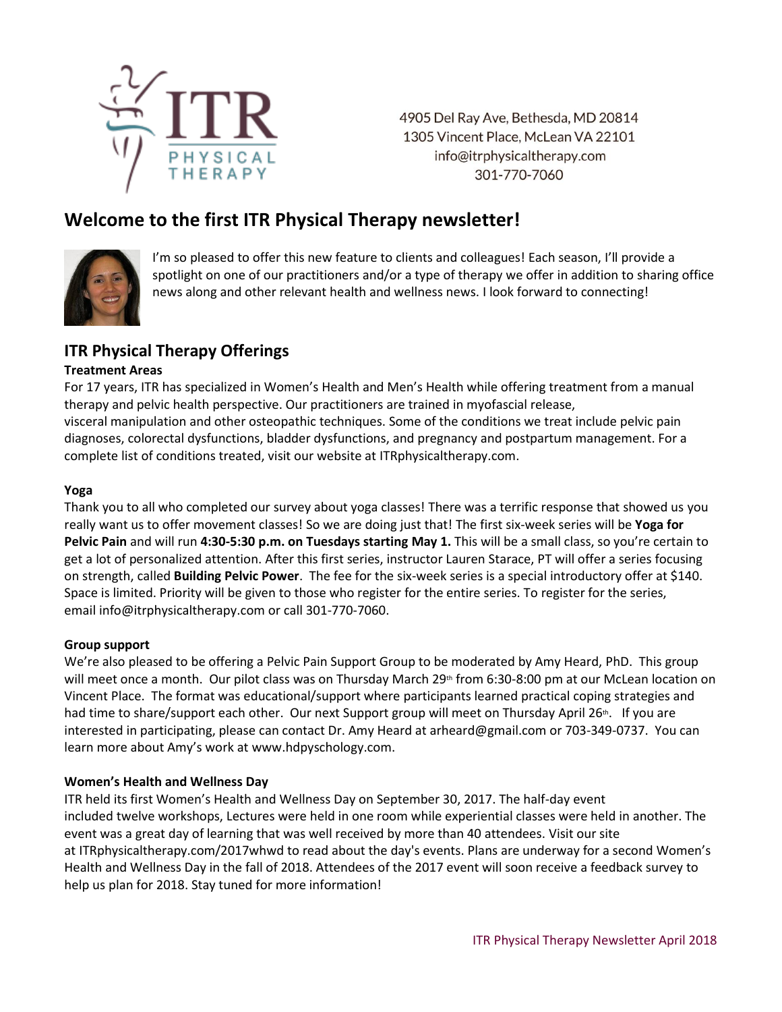

4905 Del Ray Ave, Bethesda, MD 20814 1305 Vincent Place, McLean VA 22101 info@itrphysicaltherapy.com 301-770-7060

# **Welcome to the first ITR Physical Therapy newsletter!**



I'm so pleased to offer this new feature to clients and colleagues! Each season, I'll provide a spotlight on one of our practitioners and/or a type of therapy we offer in addition to sharing office news along and other relevant health and wellness news. I look forward to connecting!

## **ITR Physical Therapy Offerings**

#### **Treatment Areas**

For 17 years, ITR has specialized in Women's Health and Men's Health while offering treatment from a manual therapy and pelvic health perspective. Our practitioners are trained in myofascial release, visceral manipulation and other osteopathic techniques. Some of the conditions we treat include pelvic pain diagnoses, colorectal dysfunctions, bladder dysfunctions, and pregnancy and postpartum management. For a complete list of conditions treated, visit our website at ITRphysicaltherapy.com.

#### **Yoga**

Thank you to all who completed our survey about yoga classes! There was a terrific response that showed us you really want us to offer movement classes! So we are doing just that! The first six-week series will be **Yoga for Pelvic Pain** and will run **4:30-5:30 p.m. on Tuesdays starting May 1.** This will be a small class, so you're certain to get a lot of personalized attention. After this first series, instructor Lauren Starace, PT will offer a series focusing on strength, called **Building Pelvic Power**. The fee for the six-week series is a special introductory offer at \$140. Space is limited. Priority will be given to those who register for the entire series. To register for the series, email info@itrphysicaltherapy.com or call 301-770-7060.

#### **Group support**

We're also pleased to be offering a Pelvic Pain Support Group to be moderated by Amy Heard, PhD. This group will meet once a month. Our pilot class was on Thursday March 29<sup>th</sup> from 6:30-8:00 pm at our McLean location on Vincent Place. The format was educational/support where participants learned practical coping strategies and had time to share/support each other. Our next Support group will meet on Thursday April 26<sup>th</sup>. If you are interested in participating, please can contact Dr. Amy Heard at [arheard@gmail.com](mailto:arheard@gmail.com) or 703-349-0737. You can learn more about Amy's work at www.hdpyschology.com.

#### **Women's Health and Wellness Day**

ITR held its first Women's Health and Wellness Day on September 30, 2017. The half-day event included twelve workshops, Lectures were held in one room while experiential classes were held in another. The event was a great day of learning that was well received by more than 40 attendees. Visit our site at [ITRphysicaltherapy.com/2017whwd](http://itrphysicaltherapy.com/2017whwd/) to read about the day's events. Plans are underway for a second Women's Health and Wellness Day in the fall of 2018. Attendees of the 2017 event will soon receive a feedback survey to help us plan for 2018. Stay tuned for more information!